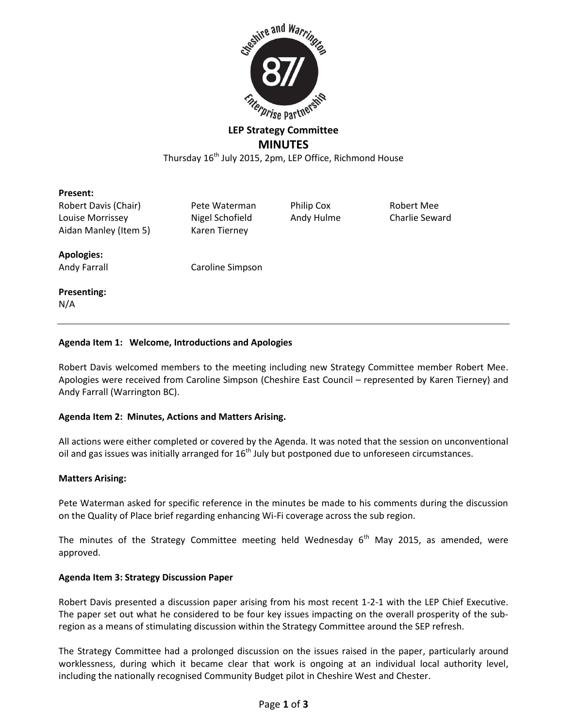

# **LEP Strategy Committee MINUTES**

Thursday 16<sup>th</sup> July 2015, 2pm, LEP Office, Richmond House

#### **Present:**

Robert Davis (Chair) Pete Waterman Philip Cox Robert Mee Louise Morrissey Nigel Schofield Andy Hulme Charlie Seward Aidan Manley (Item 5) Karen Tierney

# **Apologies:**

# Andy Farrall Caroline Simpson

#### **Presenting:** N/A

# **Agenda Item 1: Welcome, Introductions and Apologies**

Robert Davis welcomed members to the meeting including new Strategy Committee member Robert Mee. Apologies were received from Caroline Simpson (Cheshire East Council – represented by Karen Tierney) and Andy Farrall (Warrington BC).

# **Agenda Item 2: Minutes, Actions and Matters Arising.**

All actions were either completed or covered by the Agenda. It was noted that the session on unconventional oil and gas issues was initially arranged for  $16<sup>th</sup>$  July but postponed due to unforeseen circumstances.

# **Matters Arising:**

Pete Waterman asked for specific reference in the minutes be made to his comments during the discussion on the Quality of Place brief regarding enhancing Wi-Fi coverage across the sub region.

The minutes of the Strategy Committee meeting held Wednesday  $6<sup>th</sup>$  May 2015, as amended, were approved.

# **Agenda Item 3: Strategy Discussion Paper**

Robert Davis presented a discussion paper arising from his most recent 1-2-1 with the LEP Chief Executive. The paper set out what he considered to be four key issues impacting on the overall prosperity of the subregion as a means of stimulating discussion within the Strategy Committee around the SEP refresh.

The Strategy Committee had a prolonged discussion on the issues raised in the paper, particularly around worklessness, during which it became clear that work is ongoing at an individual local authority level, including the nationally recognised Community Budget pilot in Cheshire West and Chester.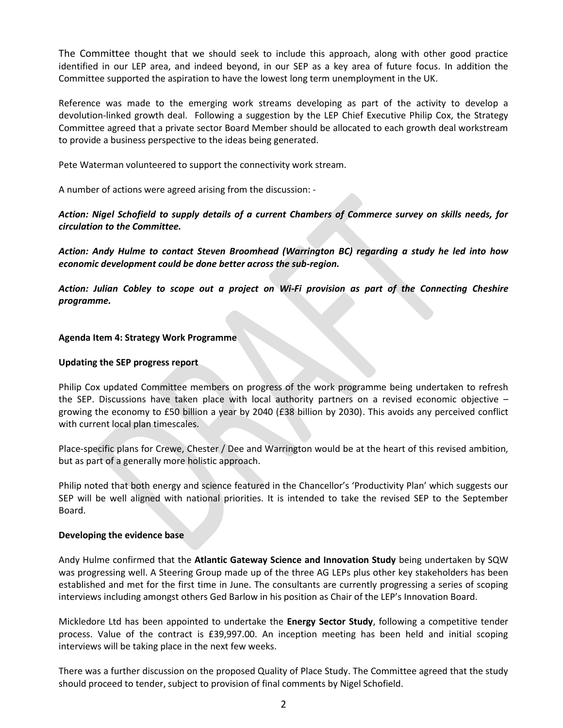The Committee thought that we should seek to include this approach, along with other good practice identified in our LEP area, and indeed beyond, in our SEP as a key area of future focus. In addition the Committee supported the aspiration to have the lowest long term unemployment in the UK.

Reference was made to the emerging work streams developing as part of the activity to develop a devolution-linked growth deal. Following a suggestion by the LEP Chief Executive Philip Cox, the Strategy Committee agreed that a private sector Board Member should be allocated to each growth deal workstream to provide a business perspective to the ideas being generated.

Pete Waterman volunteered to support the connectivity work stream.

A number of actions were agreed arising from the discussion: -

*Action: Nigel Schofield to supply details of a current Chambers of Commerce survey on skills needs, for circulation to the Committee.* 

*Action: Andy Hulme to contact Steven Broomhead (Warrington BC) regarding a study he led into how economic development could be done better across the sub-region.*

*Action: Julian Cobley to scope out a project on Wi-Fi provision as part of the Connecting Cheshire programme.*

#### **Agenda Item 4: Strategy Work Programme**

#### **Updating the SEP progress report**

Philip Cox updated Committee members on progress of the work programme being undertaken to refresh the SEP. Discussions have taken place with local authority partners on a revised economic objective – growing the economy to £50 billion a year by 2040 (£38 billion by 2030). This avoids any perceived conflict with current local plan timescales.

Place-specific plans for Crewe, Chester / Dee and Warrington would be at the heart of this revised ambition, but as part of a generally more holistic approach.

Philip noted that both energy and science featured in the Chancellor's 'Productivity Plan' which suggests our SEP will be well aligned with national priorities. It is intended to take the revised SEP to the September Board.

#### **Developing the evidence base**

Andy Hulme confirmed that the **Atlantic Gateway Science and Innovation Study** being undertaken by SQW was progressing well. A Steering Group made up of the three AG LEPs plus other key stakeholders has been established and met for the first time in June. The consultants are currently progressing a series of scoping interviews including amongst others Ged Barlow in his position as Chair of the LEP's Innovation Board.

Mickledore Ltd has been appointed to undertake the **Energy Sector Study**, following a competitive tender process. Value of the contract is £39,997.00. An inception meeting has been held and initial scoping interviews will be taking place in the next few weeks.

There was a further discussion on the proposed Quality of Place Study. The Committee agreed that the study should proceed to tender, subject to provision of final comments by Nigel Schofield.